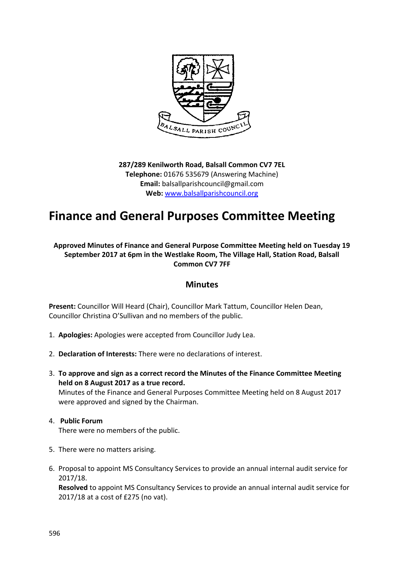

**287/289 Kenilworth Road, Balsall Common CV7 7EL Telephone:** 01676 535679 (Answering Machine) **Email:** balsallparishcouncil@gmail.com **Web:** [www.balsallparishcouncil.org](http://www.balsallparishcouncil.org/)

## **Finance and General Purposes Committee Meeting**

**Approved Minutes of Finance and General Purpose Committee Meeting held on Tuesday 19 September 2017 at 6pm in the Westlake Room, The Village Hall, Station Road, Balsall Common CV7 7FF**

## **Minutes**

**Present:** Councillor Will Heard (Chair), Councillor Mark Tattum, Councillor Helen Dean, Councillor Christina O'Sullivan and no members of the public.

- 1. **Apologies:** Apologies were accepted from Councillor Judy Lea.
- 2. **Declaration of Interests:** There were no declarations of interest.
- 3. **To approve and sign as a correct record the Minutes of the Finance Committee Meeting held on 8 August 2017 as a true record.**  Minutes of the Finance and General Purposes Committee Meeting held on 8 August 2017

## 4. **Public Forum**

There were no members of the public.

were approved and signed by the Chairman.

- 5. There were no matters arising.
- 6. Proposal to appoint MS Consultancy Services to provide an annual internal audit service for 2017/18.

**Resolved** to appoint MS Consultancy Services to provide an annual internal audit service for 2017/18 at a cost of £275 (no vat).